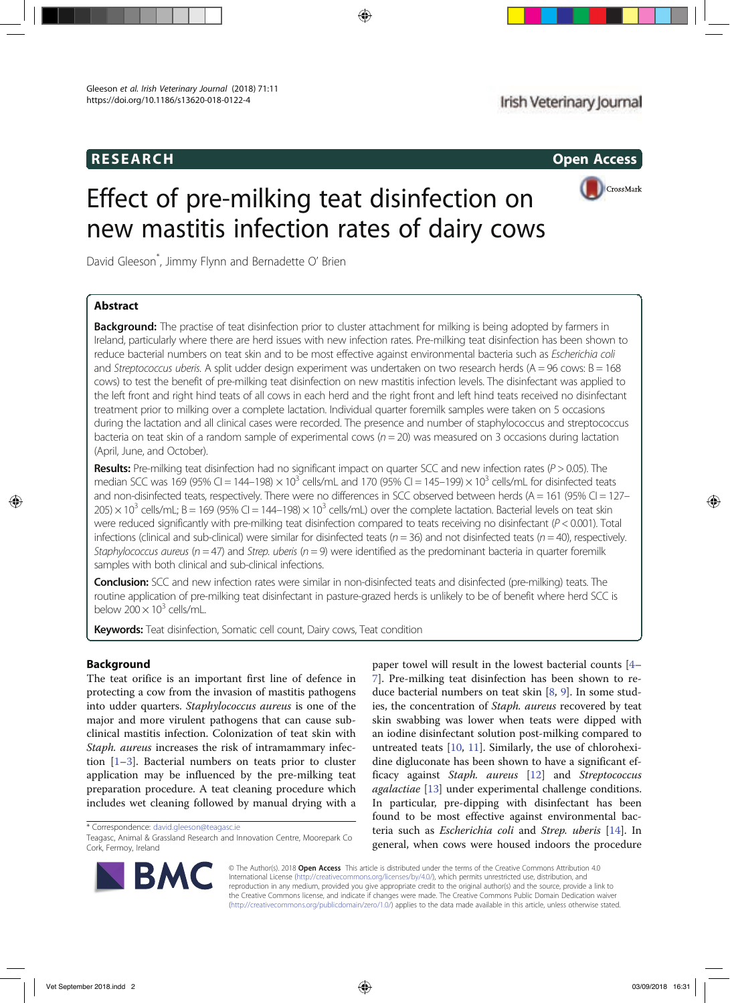# RESEARCH Open Access

.<br>CrossMark

# Effect of pre-milking teat disinfection on new mastitis infection rates of dairy cows

David Gleeson\* , Jimmy Flynn and Bernadette O' Brien

# Abstract

**Background:** The practise of teat disinfection prior to cluster attachment for milking is being adopted by farmers in Ireland, particularly where there are herd issues with new infection rates. Pre-milking teat disinfection has been shown to reduce bacterial numbers on teat skin and to be most effective against environmental bacteria such as Escherichia coli and Streptococcus uberis. A split udder design experiment was undertaken on two research herds ( $A = 96$  cows:  $B = 168$ ) cows) to test the benefit of pre-milking teat disinfection on new mastitis infection levels. The disinfectant was applied to the left front and right hind teats of all cows in each herd and the right front and left hind teats received no disinfectant treatment prior to milking over a complete lactation. Individual quarter foremilk samples were taken on 5 occasions during the lactation and all clinical cases were recorded. The presence and number of staphylococcus and streptococcus bacteria on teat skin of a random sample of experimental cows ( $n = 20$ ) was measured on 3 occasions during lactation (April, June, and October).

**Results:** Pre-milking teat disinfection had no significant impact on quarter SCC and new infection rates ( $P > 0.05$ ). The median SCC was 169 (95% CI = 144–198)  $\times 10^3$  cells/mL and 170 (95% CI = 145–199)  $\times 10^3$  cells/mL for disinfected teats and non-disinfected teats, respectively. There were no differences in SCC observed between herds ( $A = 161$  (95% CI = 127–  $205) \times 10^3$  cells/mL; B = 169 (95% CI = 144–198)  $\times 10^3$  cells/mL) over the complete lactation. Bacterial levels on teat skin were reduced significantly with pre-milking teat disinfection compared to teats receiving no disinfectant ( $P < 0.001$ ). Total infections (clinical and sub-clinical) were similar for disinfected teats ( $n = 36$ ) and not disinfected teats ( $n = 40$ ), respectively. Staphylococcus aureus ( $n = 47$ ) and Strep. uberis ( $n = 9$ ) were identified as the predominant bacteria in quarter foremilk samples with both clinical and sub-clinical infections.

Conclusion: SCC and new infection rates were similar in non-disinfected teats and disinfected (pre-milking) teats. The routine application of pre-milking teat disinfectant in pasture-grazed herds is unlikely to be of benefit where herd SCC is below  $200 \times 10^3$  cells/mL.

Keywords: Teat disinfection, Somatic cell count, Dairy cows, Teat condition

# Background

The teat orifice is an important first line of defence in protecting a cow from the invasion of mastitis pathogens into udder quarters. *Staphylococcus aureus* is one of the major and more virulent pathogens that can cause subclinical mastitis infection. Colonization of teat skin with Staph. aureus increases the risk of intramammary infection [1–3]. Bacterial numbers on teats prior to cluster application may be influenced by the pre-milking teat preparation procedure. A teat cleaning procedure which includes wet cleaning followed by manual drying with a paper towel will result in the lowest bacterial counts [4– 7]. Pre-milking teat disinfection has been shown to reduce bacterial numbers on teat skin [8, 9]. In some studies, the concentration of Staph. aureus recovered by teat skin swabbing was lower when teats were dipped with an iodine disinfectant solution post-milking compared to untreated teats [10, 11]. Similarly, the use of chlorohexidine digluconate has been shown to have a significant efficacy against Staph. aureus [12] and Streptococcus agalactiae [13] under experimental challenge conditions. In particular, pre-dipping with disinfectant has been found to be most effective against environmental bacteria such as Escherichia coli and Strep. uberis [14]. In general, when cows were housed indoors the procedure



© The Author(s). 2018 Open Access This article is distributed under the terms of the Creative Commons Attribution 4.0 International License (http://creativecommons.org/licenses/by/4.0/), which permits unrestricted use, distribution, and reproduction in any medium, provided you give appropriate credit to the original author(s) and the source, provide a link to the Creative Commons license, and indicate if changes were made. The Creative Commons Public Domain Dedication waiver (http://creativecommons.org/publicdomain/zero/1.0/) applies to the data made available in this article, unless otherwise stated.

<sup>\*</sup> Correspondence: david.gleeson@teagasc.ie

Teagasc, Animal & Grassland Research and Innovation Centre, Moorepark Co Cork, Fermoy, Ireland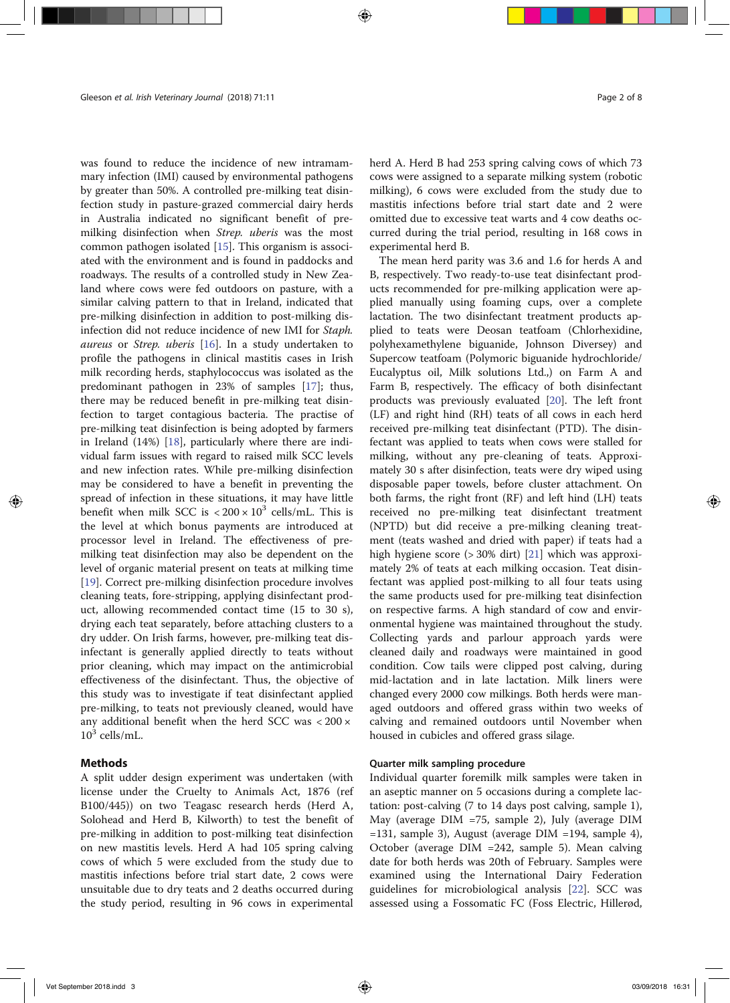was found to reduce the incidence of new intramammary infection (IMI) caused by environmental pathogens by greater than 50%. A controlled pre-milking teat disinfection study in pasture-grazed commercial dairy herds in Australia indicated no significant benefit of premilking disinfection when Strep. uberis was the most common pathogen isolated [15]. This organism is associated with the environment and is found in paddocks and roadways. The results of a controlled study in New Zealand where cows were fed outdoors on pasture, with a similar calving pattern to that in Ireland, indicated that pre-milking disinfection in addition to post-milking disinfection did not reduce incidence of new IMI for Staph. aureus or Strep. uberis [16]. In a study undertaken to profile the pathogens in clinical mastitis cases in Irish milk recording herds, staphylococcus was isolated as the predominant pathogen in 23% of samples [17]; thus, there may be reduced benefit in pre-milking teat disinfection to target contagious bacteria. The practise of pre-milking teat disinfection is being adopted by farmers in Ireland (14%) [18], particularly where there are individual farm issues with regard to raised milk SCC levels and new infection rates. While pre-milking disinfection may be considered to have a benefit in preventing the spread of infection in these situations, it may have little benefit when milk SCC is  $\langle 200 \times 10^3 \text{ cells/mL}$ . This is the level at which bonus payments are introduced at processor level in Ireland. The effectiveness of premilking teat disinfection may also be dependent on the level of organic material present on teats at milking time [19]. Correct pre-milking disinfection procedure involves cleaning teats, fore-stripping, applying disinfectant product, allowing recommended contact time (15 to 30 s), drying each teat separately, before attaching clusters to a dry udder. On Irish farms, however, pre-milking teat disinfectant is generally applied directly to teats without prior cleaning, which may impact on the antimicrobial effectiveness of the disinfectant. Thus, the objective of this study was to investigate if teat disinfectant applied pre-milking, to teats not previously cleaned, would have any additional benefit when the herd SCC was < 200 ×  $10^3$  cells/mL.

# Methods

A split udder design experiment was undertaken (with license under the Cruelty to Animals Act, 1876 (ref B100/445)) on two Teagasc research herds (Herd A, Solohead and Herd B, Kilworth) to test the benefit of pre-milking in addition to post-milking teat disinfection on new mastitis levels. Herd A had 105 spring calving cows of which 5 were excluded from the study due to mastitis infections before trial start date, 2 cows were unsuitable due to dry teats and 2 deaths occurred during the study period, resulting in 96 cows in experimental

herd A. Herd B had 253 spring calving cows of which 73 cows were assigned to a separate milking system (robotic milking), 6 cows were excluded from the study due to mastitis infections before trial start date and 2 were omitted due to excessive teat warts and 4 cow deaths occurred during the trial period, resulting in 168 cows in experimental herd B.

The mean herd parity was 3.6 and 1.6 for herds A and B, respectively. Two ready-to-use teat disinfectant products recommended for pre-milking application were applied manually using foaming cups, over a complete lactation. The two disinfectant treatment products applied to teats were Deosan teatfoam (Chlorhexidine, polyhexamethylene biguanide, Johnson Diversey) and Supercow teatfoam (Polymoric biguanide hydrochloride/ Eucalyptus oil, Milk solutions Ltd.,) on Farm A and Farm B, respectively. The efficacy of both disinfectant products was previously evaluated [20]. The left front (LF) and right hind (RH) teats of all cows in each herd received pre-milking teat disinfectant (PTD). The disinfectant was applied to teats when cows were stalled for milking, without any pre-cleaning of teats. Approximately 30 s after disinfection, teats were dry wiped using disposable paper towels, before cluster attachment. On both farms, the right front (RF) and left hind (LH) teats received no pre-milking teat disinfectant treatment (NPTD) but did receive a pre-milking cleaning treatment (teats washed and dried with paper) if teats had a high hygiene score (> 30% dirt) [21] which was approximately 2% of teats at each milking occasion. Teat disinfectant was applied post-milking to all four teats using the same products used for pre-milking teat disinfection on respective farms. A high standard of cow and environmental hygiene was maintained throughout the study. Collecting yards and parlour approach yards were cleaned daily and roadways were maintained in good condition. Cow tails were clipped post calving, during mid-lactation and in late lactation. Milk liners were changed every 2000 cow milkings. Both herds were managed outdoors and offered grass within two weeks of calving and remained outdoors until November when housed in cubicles and offered grass silage.

## Quarter milk sampling procedure

Individual quarter foremilk milk samples were taken in an aseptic manner on 5 occasions during a complete lactation: post-calving (7 to 14 days post calving, sample 1), May (average DIM =75, sample 2), July (average DIM =131, sample 3), August (average DIM =194, sample 4), October (average DIM =242, sample 5). Mean calving date for both herds was 20th of February. Samples were examined using the International Dairy Federation guidelines for microbiological analysis [22]. SCC was assessed using a Fossomatic FC (Foss Electric, Hillerød,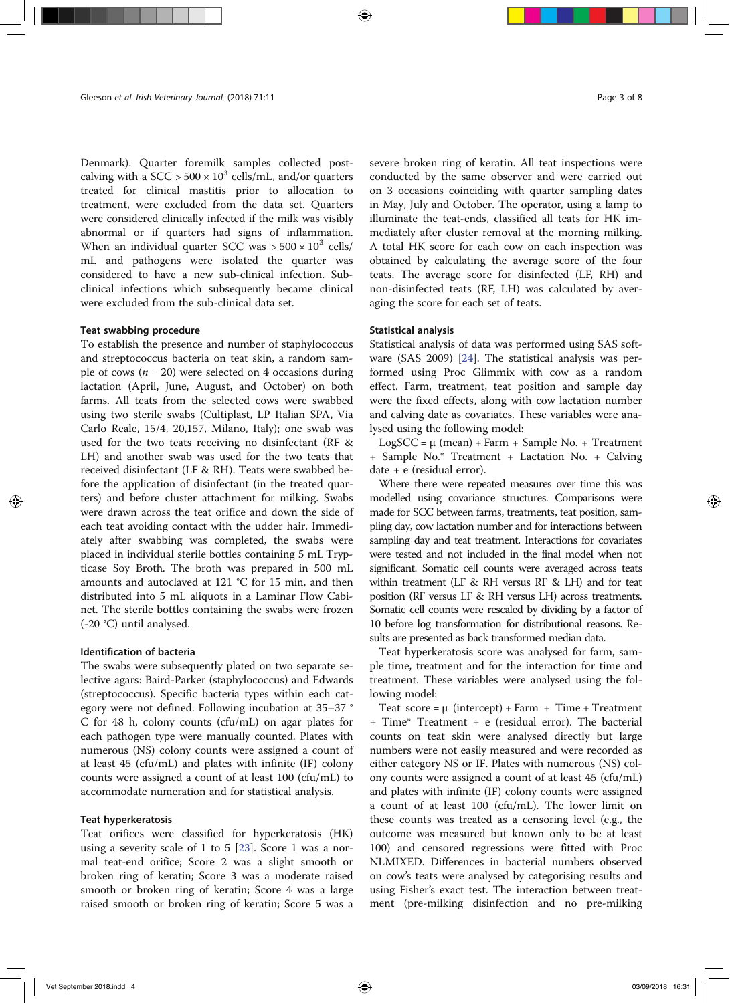Denmark). Quarter foremilk samples collected postcalving with a SCC >  $500 \times 10^3$  cells/mL, and/or quarters treated for clinical mastitis prior to allocation to treatment, were excluded from the data set. Quarters were considered clinically infected if the milk was visibly abnormal or if quarters had signs of inflammation. When an individual quarter SCC was  $> 500 \times 10^3$  cells/ mL and pathogens were isolated the quarter was considered to have a new sub-clinical infection. Subclinical infections which subsequently became clinical were excluded from the sub-clinical data set.

# Teat swabbing procedure

To establish the presence and number of staphylococcus and streptococcus bacteria on teat skin, a random sample of cows ( $n = 20$ ) were selected on 4 occasions during lactation (April, June, August, and October) on both farms. All teats from the selected cows were swabbed using two sterile swabs (Cultiplast, LP Italian SPA, Via Carlo Reale, 15/4, 20,157, Milano, Italy); one swab was used for the two teats receiving no disinfectant (RF & LH) and another swab was used for the two teats that received disinfectant (LF & RH). Teats were swabbed before the application of disinfectant (in the treated quarters) and before cluster attachment for milking. Swabs were drawn across the teat orifice and down the side of each teat avoiding contact with the udder hair. Immediately after swabbing was completed, the swabs were placed in individual sterile bottles containing 5 mL Trypticase Soy Broth. The broth was prepared in 500 mL amounts and autoclaved at 121 °C for 15 min, and then distributed into 5 mL aliquots in a Laminar Flow Cabinet. The sterile bottles containing the swabs were frozen (-20 °C) until analysed.

# Identification of bacteria

The swabs were subsequently plated on two separate selective agars: Baird-Parker (staphylococcus) and Edwards (streptococcus). Specific bacteria types within each category were not defined. Following incubation at 35–37 ° C for 48 h, colony counts (cfu/mL) on agar plates for each pathogen type were manually counted. Plates with numerous (NS) colony counts were assigned a count of at least 45 (cfu/mL) and plates with infinite (IF) colony counts were assigned a count of at least 100 (cfu/mL) to accommodate numeration and for statistical analysis.

# Teat hyperkeratosis

Teat orifices were classified for hyperkeratosis (HK) using a severity scale of 1 to 5 [23]. Score 1 was a normal teat-end orifice; Score 2 was a slight smooth or broken ring of keratin; Score 3 was a moderate raised smooth or broken ring of keratin; Score 4 was a large raised smooth or broken ring of keratin; Score 5 was a severe broken ring of keratin. All teat inspections were conducted by the same observer and were carried out on 3 occasions coinciding with quarter sampling dates in May, July and October. The operator, using a lamp to illuminate the teat-ends, classified all teats for HK immediately after cluster removal at the morning milking. A total HK score for each cow on each inspection was obtained by calculating the average score of the four teats. The average score for disinfected (LF, RH) and non-disinfected teats (RF, LH) was calculated by averaging the score for each set of teats.

# Statistical analysis

Statistical analysis of data was performed using SAS software (SAS 2009) [24]. The statistical analysis was performed using Proc Glimmix with cow as a random effect. Farm, treatment, teat position and sample day were the fixed effects, along with cow lactation number and calving date as covariates. These variables were analysed using the following model:

 $LogSCC = \mu$  (mean) + Farm + Sample No. + Treatment + Sample No.\* Treatment + Lactation No. + Calving date + e (residual error).

Where there were repeated measures over time this was modelled using covariance structures. Comparisons were made for SCC between farms, treatments, teat position, sampling day, cow lactation number and for interactions between sampling day and teat treatment. Interactions for covariates were tested and not included in the final model when not significant. Somatic cell counts were averaged across teats within treatment (LF & RH versus RF & LH) and for teat position (RF versus LF & RH versus LH) across treatments. Somatic cell counts were rescaled by dividing by a factor of 10 before log transformation for distributional reasons. Results are presented as back transformed median data.

Teat hyperkeratosis score was analysed for farm, sample time, treatment and for the interaction for time and treatment. These variables were analysed using the following model:

Teat score =  $\mu$  (intercept) + Farm + Time + Treatment + Time\* Treatment + e (residual error). The bacterial counts on teat skin were analysed directly but large numbers were not easily measured and were recorded as either category NS or IF. Plates with numerous (NS) colony counts were assigned a count of at least 45 (cfu/mL) and plates with infinite (IF) colony counts were assigned a count of at least 100 (cfu/mL). The lower limit on these counts was treated as a censoring level (e.g., the outcome was measured but known only to be at least 100) and censored regressions were fitted with Proc NLMIXED. Differences in bacterial numbers observed on cow's teats were analysed by categorising results and using Fisher's exact test. The interaction between treatment (pre-milking disinfection and no pre-milking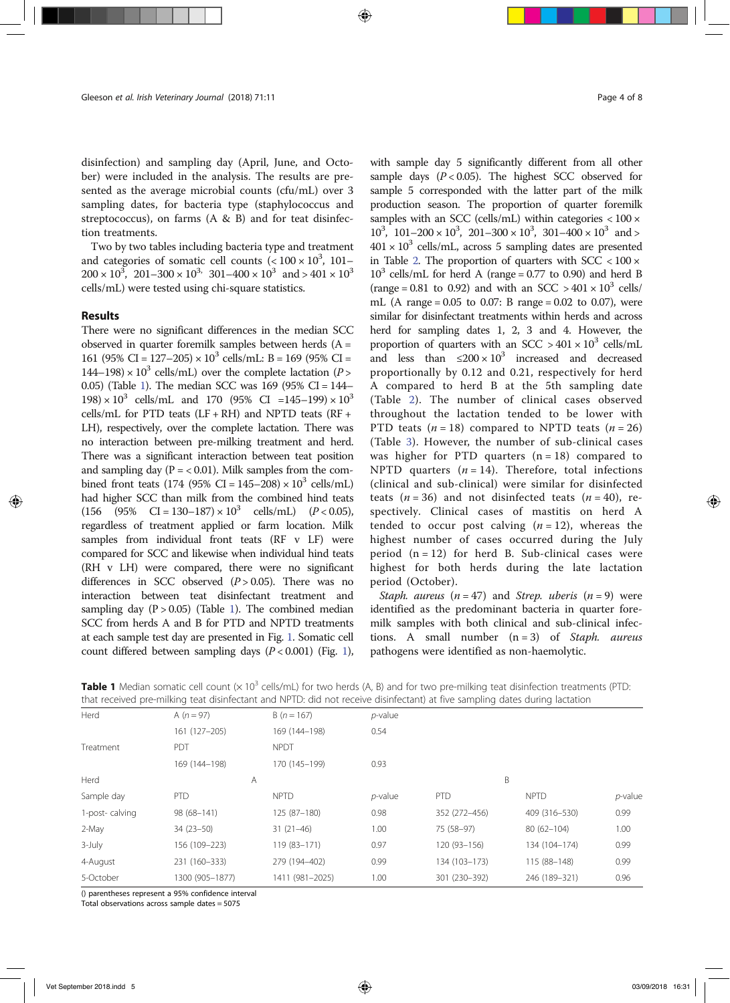disinfection) and sampling day (April, June, and October) were included in the analysis. The results are presented as the average microbial counts (cfu/mL) over 3 sampling dates, for bacteria type (staphylococcus and streptococcus), on farms (A & B) and for teat disinfection treatments.

Two by two tables including bacteria type and treatment and categories of somatic cell counts  $(< 100 \times 10^3, 101 200 \times 10^3$ ,  $201 - 300 \times 10^3$ ,  $301 - 400 \times 10^3$  and  $> 401 \times 10^3$ cells/mL) were tested using chi-square statistics.

# Results

There were no significant differences in the median SCC observed in quarter foremilk samples between herds  $(A =$ 161 (95% CI = 127-205)  $\times$  10<sup>3</sup> cells/mL: B = 169 (95% CI = 144–198)  $\times$  10<sup>3</sup> cells/mL) over the complete lactation (P > 0.05) (Table 1). The median SCC was 169 (95% CI = 144–  $198 \times 10^3$  cells/mL and 170 (95% CI =145–199)  $\times 10^3$ cells/mL for PTD teats  $(LF + RH)$  and NPTD teats  $(RF +$ LH), respectively, over the complete lactation. There was no interaction between pre-milking treatment and herd. There was a significant interaction between teat position and sampling day ( $P = < 0.01$ ). Milk samples from the combined front teats (174 (95% CI =  $145-208 \times 10^3$  cells/mL) had higher SCC than milk from the combined hind teats  $(156 \t (95\t \& C1 = 130-187) \times 10^3 \t cells/mL) \t (P < 0.05),$ regardless of treatment applied or farm location. Milk samples from individual front teats (RF v LF) were compared for SCC and likewise when individual hind teats (RH v LH) were compared, there were no significant differences in SCC observed  $(P > 0.05)$ . There was no interaction between teat disinfectant treatment and sampling day  $(P > 0.05)$  (Table 1). The combined median SCC from herds A and B for PTD and NPTD treatments at each sample test day are presented in Fig. 1. Somatic cell count differed between sampling days  $(P < 0.001)$  (Fig. 1), with sample day 5 significantly different from all other sample days  $(P < 0.05)$ . The highest SCC observed for sample 5 corresponded with the latter part of the milk production season. The proportion of quarter foremilk samples with an SCC (cells/mL) within categories  $< 100 \times$ 10<sup>3</sup>, 101-200 × 10<sup>3</sup>, 201-300 × 10<sup>3</sup>, 301-400 × 10<sup>3</sup> and >  $401 \times 10^3$  cells/mL, across 5 sampling dates are presented in Table 2. The proportion of quarters with  $SCC < 100 \times$  $10^3$  cells/mL for herd A (range = 0.77 to 0.90) and herd B (range = 0.81 to 0.92) and with an SCC >  $401 \times 10^3$  cells/ mL (A range =  $0.05$  to  $0.07$ : B range =  $0.02$  to  $0.07$ ), were similar for disinfectant treatments within herds and across herd for sampling dates 1, 2, 3 and 4. However, the proportion of quarters with an SCC  $> 401 \times 10^3$  cells/mL and less than  $\leq 200 \times 10^3$  increased and decreased proportionally by 0.12 and 0.21, respectively for herd A compared to herd B at the 5th sampling date (Table 2). The number of clinical cases observed throughout the lactation tended to be lower with PTD teats  $(n = 18)$  compared to NPTD teats  $(n = 26)$ (Table 3). However, the number of sub-clinical cases was higher for PTD quarters  $(n = 18)$  compared to NPTD quarters  $(n = 14)$ . Therefore, total infections (clinical and sub-clinical) were similar for disinfected teats  $(n = 36)$  and not disinfected teats  $(n = 40)$ , respectively. Clinical cases of mastitis on herd A tended to occur post calving  $(n = 12)$ , whereas the highest number of cases occurred during the July period  $(n = 12)$  for herd B. Sub-clinical cases were highest for both herds during the late lactation period (October).

Staph. aureus ( $n = 47$ ) and Strep. uberis ( $n = 9$ ) were identified as the predominant bacteria in quarter foremilk samples with both clinical and sub-clinical infections. A small number  $(n = 3)$  of Staph. aureus pathogens were identified as non-haemolytic.

|                | that received pre-minimity teat disimectant and iverib. One not receive disimectant, at nve sampling dates during lactation |                 |            |               |                |            |
|----------------|-----------------------------------------------------------------------------------------------------------------------------|-----------------|------------|---------------|----------------|------------|
| Herd           | A $(n = 97)$                                                                                                                | $B(n = 167)$    | $p$ -value |               |                |            |
|                | 161 (127-205)                                                                                                               | 169 (144-198)   | 0.54       |               |                |            |
| Treatment      | <b>PDT</b>                                                                                                                  | <b>NPDT</b>     |            |               |                |            |
|                | 169 (144-198)                                                                                                               | 170 (145-199)   | 0.93       |               |                |            |
| Herd           | A                                                                                                                           |                 |            |               | B              |            |
| Sample day     | <b>PTD</b>                                                                                                                  | <b>NPTD</b>     | $p$ -value | <b>PTD</b>    | <b>NPTD</b>    | $p$ -value |
| 1-post-calving | 98 (68-141)                                                                                                                 | 125 (87-180)    | 0.98       | 352 (272-456) | 409 (316-530)  | 0.99       |
| 2-May          | $34(23-50)$                                                                                                                 | $31(21-46)$     | 1.00       | 75 (58-97)    | $80(62 - 104)$ | 1.00       |
| $3$ -July      | 156 (109-223)                                                                                                               | 119 (83-171)    | 0.97       | 120 (93-156)  | 134 (104-174)  | 0.99       |
| 4-August       | 231 (160-333)                                                                                                               | 279 (194-402)   | 0.99       | 134 (103-173) | 115 (88-148)   | 0.99       |
| 5-October      | 1300 (905-1877)                                                                                                             | 1411 (981-2025) | 1.00       | 301 (230-392) | 246 (189-321)  | 0.96       |
|                | () parentheses represent a 95% confidence interval                                                                          |                 |            |               |                |            |

**Table 1** Median somatic cell count  $(x 10^3 \text{ cells/mL})$  for two herds  $(A, B)$  and for two pre-milking teat disinfection treatments (PTD: that received pre-milking teat disinfectant and NPTD: did not receive disinfectant) at five sampling dates during lactation

Total observations across sample dates = 5075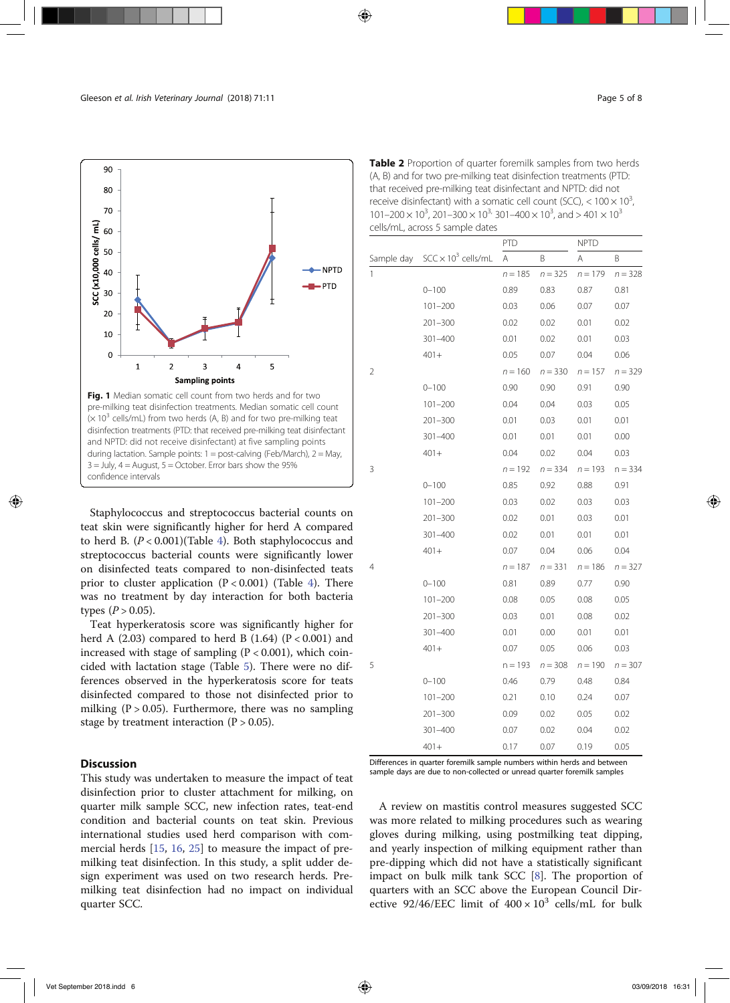

Staphylococcus and streptococcus bacterial counts on teat skin were significantly higher for herd A compared to herd B.  $(P < 0.001)$ (Table 4). Both staphylococcus and streptococcus bacterial counts were significantly lower on disinfected teats compared to non-disinfected teats prior to cluster application  $(P < 0.001)$  (Table 4). There was no treatment by day interaction for both bacteria types  $(P > 0.05)$ .

Teat hyperkeratosis score was significantly higher for herd A  $(2.03)$  compared to herd B  $(1.64)$   $(P < 0.001)$  and increased with stage of sampling  $(P < 0.001)$ , which coincided with lactation stage (Table 5). There were no differences observed in the hyperkeratosis score for teats disinfected compared to those not disinfected prior to milking  $(P > 0.05)$ . Furthermore, there was no sampling stage by treatment interaction  $(P > 0.05)$ .

# Discussion

This study was undertaken to measure the impact of teat disinfection prior to cluster attachment for milking, on quarter milk sample SCC, new infection rates, teat-end condition and bacterial counts on teat skin. Previous international studies used herd comparison with commercial herds [15, 16, 25] to measure the impact of premilking teat disinfection. In this study, a split udder design experiment was used on two research herds. Premilking teat disinfection had no impact on individual quarter SCC.

Table 2 Proportion of quarter foremilk samples from two herds (A, B) and for two pre-milking teat disinfection treatments (PTD: that received pre-milking teat disinfectant and NPTD: did not receive disinfectant) with a somatic cell count (SCC), <  $100 \times 10^3$ , ,  $101 - 200 \times 10^3$ ,  $201 - 300 \times 10^3$ ,  $301 - 400 \times 10^3$ , and  $> 401 \times 10^3$ cells/mL, across 5 sample dates

|            |                            | PTD       |           | <b>NPTD</b> |           |
|------------|----------------------------|-----------|-----------|-------------|-----------|
| Sample day | $SCC \times 10^3$ cells/mL | A         | B         | A           | B         |
| 1          |                            | $n = 185$ | $n = 325$ | $n = 179$   | $n = 328$ |
|            | $0 - 100$                  | 0.89      | 0.83      | 0.87        | 0.81      |
|            | $101 - 200$                | 0.03      | 0.06      | 0.07        | 0.07      |
|            | $201 - 300$                | 0.02      | 0.02      | 0.01        | 0.02      |
|            | 301-400                    | 0.01      | 0.02      | 0.01        | 0.03      |
|            | $401 +$                    | 0.05      | 0.07      | 0.04        | 0.06      |
| 2          |                            | $n = 160$ | $n = 330$ | $n = 157$   | $n = 329$ |
|            | $0 - 100$                  | 0.90      | 0.90      | 0.91        | 0.90      |
|            | $101 - 200$                | 0.04      | 0.04      | 0.03        | 0.05      |
|            | $201 - 300$                | 0.01      | 0.03      | 0.01        | 0.01      |
|            | 301-400                    | 0.01      | 0.01      | 0.01        | 0.00      |
|            | $401 +$                    | 0.04      | 0.02      | 0.04        | 0.03      |
| 3          |                            | $n = 192$ | $n = 334$ | $n = 193$   | $n = 334$ |
|            | $0 - 100$                  | 0.85      | 0.92      | 0.88        | 0.91      |
|            | $101 - 200$                | 0.03      | 0.02      | 0.03        | 0.03      |
|            | $201 - 300$                | 0.02      | 0.01      | 0.03        | 0.01      |
|            | 301-400                    | 0.02      | 0.01      | 0.01        | 0.01      |
|            | $401 +$                    | 0.07      | 0.04      | 0.06        | 0.04      |
| 4          |                            | $n = 187$ | $n = 331$ | $n = 186$   | $n = 327$ |
|            | $0 - 100$                  | 0.81      | 0.89      | 0.77        | 0.90      |
|            | $101 - 200$                | 0.08      | 0.05      | 0.08        | 0.05      |
|            | $201 - 300$                | 0.03      | 0.01      | 0.08        | 0.02      |
|            | $301 - 400$                | 0.01      | 0.00      | 0.01        | 0.01      |
|            | $401 +$                    | 0.07      | 0.05      | 0.06        | 0.03      |
| 5          |                            | $n = 193$ | $n = 308$ | $n = 190$   | $n = 307$ |
|            | $0 - 100$                  | 0.46      | 0.79      | 0.48        | 0.84      |
|            | $101 - 200$                | 0.21      | 0.10      | 0.24        | 0.07      |
|            | 201-300                    | 0.09      | 0.02      | 0.05        | 0.02      |
|            | 301-400                    | 0.07      | 0.02      | 0.04        | 0.02      |
|            | $401 +$                    | 0.17      | 0.07      | 0.19        | 0.05      |

Differences in quarter foremilk sample numbers within herds and between sample days are due to non-collected or unread quarter foremilk samples

A review on mastitis control measures suggested SCC was more related to milking procedures such as wearing gloves during milking, using postmilking teat dipping, and yearly inspection of milking equipment rather than pre-dipping which did not have a statistically significant impact on bulk milk tank SCC [8]. The proportion of quarters with an SCC above the European Council Directive 92/46/EEC limit of  $400 \times 10^3$  cells/mL for bulk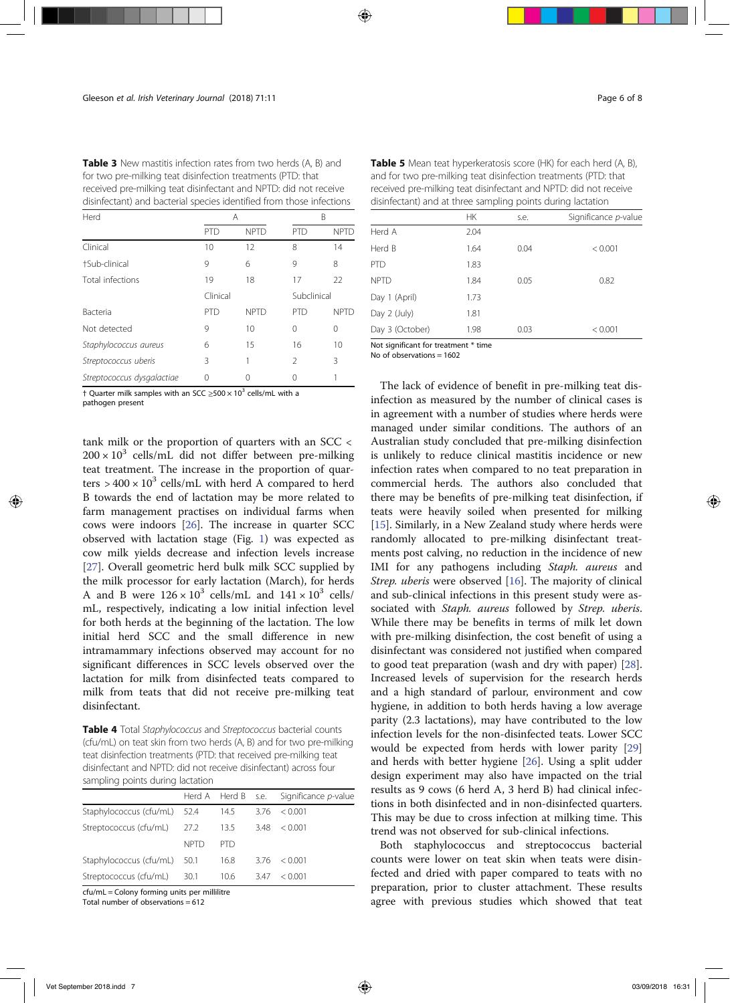Table 3 New mastitis infection rates from two herds (A, B) and for two pre-milking teat disinfection treatments (PTD: that received pre-milking teat disinfectant and NPTD: did not receive disinfectant) and bacterial species identified from those infections

| Herd                       |            | Α           |                | B           |  |
|----------------------------|------------|-------------|----------------|-------------|--|
|                            | PTD        | <b>NPTD</b> | <b>PTD</b>     | <b>NPTD</b> |  |
| Clinical                   | 10         | 12          | 8              | 14          |  |
| +Sub-clinical              | 9          | 6           | 9              | 8           |  |
| Total infections           | 19         | 18          | 17             | 22          |  |
|                            | Clinical   |             | Subclinical    |             |  |
| <b>Bacteria</b>            | <b>PTD</b> | <b>NPTD</b> | <b>PTD</b>     | <b>NPTD</b> |  |
| Not detected               | 9          | 10          | $\Omega$       | 0           |  |
| Staphylococcus aureus      | 6          | 15          | 16             | 10          |  |
| Streptococcus uberis       | 3          |             | $\mathfrak{D}$ | 3           |  |
| Streptococcus dysgalactiae | O          | Ω           | Λ              |             |  |

† Quarter milk samples with an SCC ≥500  $\times$  10<sup>3</sup> cells/mL with a pathogen present

tank milk or the proportion of quarters with an SCC <  $200 \times 10^3$  cells/mL did not differ between pre-milking teat treatment. The increase in the proportion of quarters >  $400 \times 10^3$  cells/mL with herd A compared to herd B towards the end of lactation may be more related to farm management practises on individual farms when cows were indoors [26]. The increase in quarter SCC observed with lactation stage (Fig. 1) was expected as cow milk yields decrease and infection levels increase [27]. Overall geometric herd bulk milk SCC supplied by the milk processor for early lactation (March), for herds A and B were  $126 \times 10^3$  cells/mL and  $141 \times 10^3$  cells/ mL, respectively, indicating a low initial infection level for both herds at the beginning of the lactation. The low initial herd SCC and the small difference in new intramammary infections observed may account for no significant differences in SCC levels observed over the lactation for milk from disinfected teats compared to milk from teats that did not receive pre-milking teat disinfectant.

Table 4 Total Staphylococcus and Streptococcus bacterial counts (cfu/mL) on teat skin from two herds (A, B) and for two pre-milking teat disinfection treatments (PTD: that received pre-milking teat disinfectant and NPTD: did not receive disinfectant) across four sampling points during lactation

|                              |             | Herd A Herd B s.e. |      | Significance p-value |
|------------------------------|-------------|--------------------|------|----------------------|
| Staphylococcus (cfu/mL) 52.4 |             | 14.5               | 3.76 | < 0.001              |
| Streptococcus (cfu/mL)       | 27.2        | 13.5               | 3.48 | < 0.001              |
|                              | <b>NPTD</b> | PTD.               |      |                      |
| Staphylococcus (cfu/mL) 50.1 |             | 16.8               | 3.76 | < 0.001              |
| Streptococcus (cfu/mL)       | 30.1        | 10.6               | 3.47 | < 0.001              |

cfu/mL = Colony forming units per millilitre

Total number of observations  $= 612$ 

Table 5 Mean teat hyperkeratosis score (HK) for each herd (A, B), and for two pre-milking teat disinfection treatments (PTD: that received pre-milking teat disinfectant and NPTD: did not receive disinfectant) and at three sampling points during lactation

|                 | <b>HK</b> | s.e. | Significance p-value |
|-----------------|-----------|------|----------------------|
| Herd A          | 2.04      |      |                      |
| Herd B          | 1.64      | 0.04 | < 0.001              |
| <b>PTD</b>      | 1.83      |      |                      |
| <b>NPTD</b>     | 1.84      | 0.05 | 0.82                 |
| Day 1 (April)   | 1.73      |      |                      |
| Day 2 (July)    | 1.81      |      |                      |
| Day 3 (October) | 1.98      | 0.03 | < 0.001              |

Not significant for treatment \* time

No of observations = 1602

The lack of evidence of benefit in pre-milking teat disinfection as measured by the number of clinical cases is in agreement with a number of studies where herds were managed under similar conditions. The authors of an Australian study concluded that pre-milking disinfection is unlikely to reduce clinical mastitis incidence or new infection rates when compared to no teat preparation in commercial herds. The authors also concluded that there may be benefits of pre-milking teat disinfection, if teats were heavily soiled when presented for milking [15]. Similarly, in a New Zealand study where herds were randomly allocated to pre-milking disinfectant treatments post calving, no reduction in the incidence of new IMI for any pathogens including Staph. aureus and Strep. uberis were observed [16]. The majority of clinical and sub-clinical infections in this present study were associated with Staph. aureus followed by Strep. uberis. While there may be benefits in terms of milk let down with pre-milking disinfection, the cost benefit of using a disinfectant was considered not justified when compared to good teat preparation (wash and dry with paper) [28]. Increased levels of supervision for the research herds and a high standard of parlour, environment and cow hygiene, in addition to both herds having a low average parity (2.3 lactations), may have contributed to the low infection levels for the non-disinfected teats. Lower SCC would be expected from herds with lower parity [29] and herds with better hygiene [26]. Using a split udder design experiment may also have impacted on the trial results as 9 cows (6 herd A, 3 herd B) had clinical infections in both disinfected and in non-disinfected quarters. This may be due to cross infection at milking time. This trend was not observed for sub-clinical infections.

Both staphylococcus and streptococcus bacterial counts were lower on teat skin when teats were disinfected and dried with paper compared to teats with no preparation, prior to cluster attachment. These results agree with previous studies which showed that teat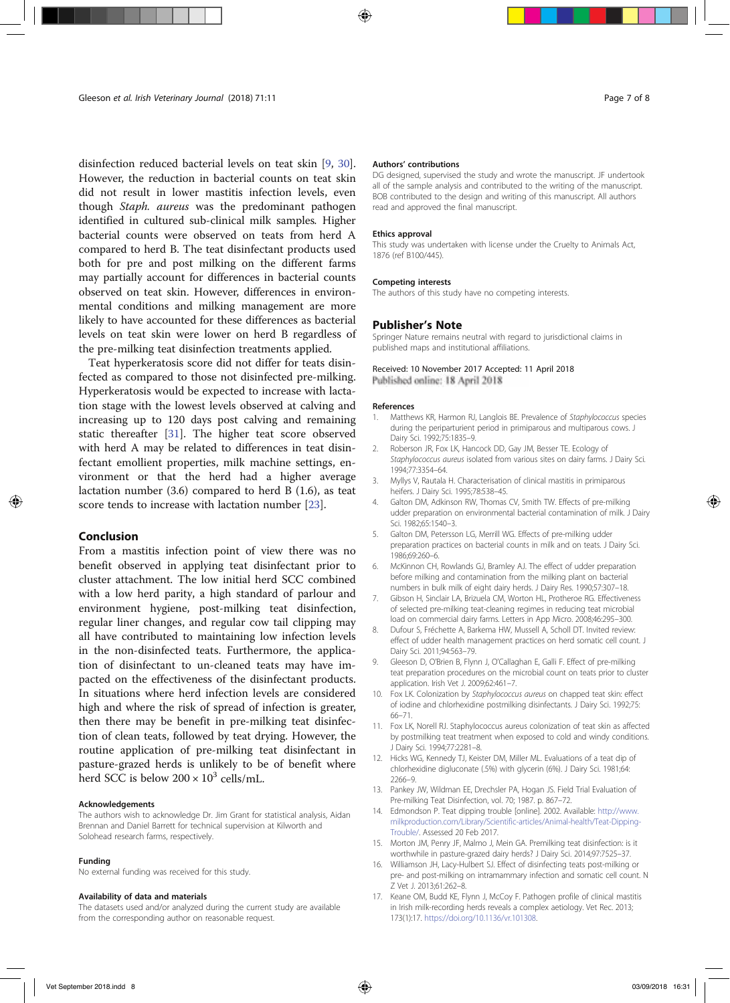disinfection reduced bacterial levels on teat skin [9, 30]. However, the reduction in bacterial counts on teat skin did not result in lower mastitis infection levels, even though Staph. aureus was the predominant pathogen identified in cultured sub-clinical milk samples. Higher bacterial counts were observed on teats from herd A compared to herd B. The teat disinfectant products used both for pre and post milking on the different farms may partially account for differences in bacterial counts observed on teat skin. However, differences in environmental conditions and milking management are more likely to have accounted for these differences as bacterial levels on teat skin were lower on herd B regardless of the pre-milking teat disinfection treatments applied.

Teat hyperkeratosis score did not differ for teats disinfected as compared to those not disinfected pre-milking. Hyperkeratosis would be expected to increase with lactation stage with the lowest levels observed at calving and increasing up to 120 days post calving and remaining static thereafter [31]. The higher teat score observed with herd A may be related to differences in teat disinfectant emollient properties, milk machine settings, environment or that the herd had a higher average lactation number (3.6) compared to herd B (1.6), as teat score tends to increase with lactation number [23].

# Conclusion

From a mastitis infection point of view there was no benefit observed in applying teat disinfectant prior to cluster attachment. The low initial herd SCC combined with a low herd parity, a high standard of parlour and environment hygiene, post-milking teat disinfection, regular liner changes, and regular cow tail clipping may all have contributed to maintaining low infection levels in the non-disinfected teats. Furthermore, the application of disinfectant to un-cleaned teats may have impacted on the effectiveness of the disinfectant products. In situations where herd infection levels are considered high and where the risk of spread of infection is greater, then there may be benefit in pre-milking teat disinfection of clean teats, followed by teat drying. However, the routine application of pre-milking teat disinfectant in pasture-grazed herds is unlikely to be of benefit where herd SCC is below  $200 \times 10^3$  cells/mL.

#### Acknowledgements

The authors wish to acknowledge Dr. Jim Grant for statistical analysis, Aidan Brennan and Daniel Barrett for technical supervision at Kilworth and Solohead research farms, respectively.

#### Funding

No external funding was received for this study.

#### Availability of data and materials

The datasets used and/or analyzed during the current study are available from the corresponding author on reasonable request.

#### Authors' contributions

DG designed, supervised the study and wrote the manuscript. JF undertook all of the sample analysis and contributed to the writing of the manuscript. BOB contributed to the design and writing of this manuscript. All authors read and approved the final manuscript.

#### Ethics approval

This study was undertaken with license under the Cruelty to Animals Act, 1876 (ref B100/445).

#### Competing interests

The authors of this study have no competing interests.

## Publisher's Note

Springer Nature remains neutral with regard to jurisdictional claims in published maps and institutional affiliations.

## Received: 10 November 2017 Accepted: 11 April 2018 Published online: 18 April 2018

#### **References**

- 1. Matthews KR, Harmon RJ, Langlois BE. Prevalence of Staphylococcus species during the periparturient period in primiparous and multiparous cows. J Dairy Sci. 1992;75:1835–9.
- 2. Roberson JR, Fox LK, Hancock DD, Gay JM, Besser TE. Ecology of Staphylococcus aureus isolated from various sites on dairy farms. J Dairy Sci. 1994;77:3354–64.
- 3. Myllys V, Rautala H. Characterisation of clinical mastitis in primiparous heifers. J Dairy Sci. 1995;78:538–45.
- 4. Galton DM, Adkinson RW, Thomas CV, Smith TW. Effects of pre-milking udder preparation on environmental bacterial contamination of milk. J Dairy Sci. 1982;65:1540–3.
- 5. Galton DM, Petersson LG, Merrill WG. Effects of pre-milking udder preparation practices on bacterial counts in milk and on teats. J Dairy Sci. 1986;69:260–6.
- 6. McKinnon CH, Rowlands GJ, Bramley AJ. The effect of udder preparation before milking and contamination from the milking plant on bacterial numbers in bulk milk of eight dairy herds. J Dairy Res. 1990;57:307–18.
- 7. Gibson H, Sinclair LA, Brizuela CM, Worton HL, Protheroe RG. Effectiveness of selected pre-milking teat-cleaning regimes in reducing teat microbial load on commercial dairy farms. Letters in App Micro. 2008;46:295–300.
- 8. Dufour S, Fréchette A, Barkema HW, Mussell A, Scholl DT. Invited review: effect of udder health management practices on herd somatic cell count. J Dairy Sci. 2011;94:563–79.
- 9. Gleeson D, O'Brien B, Flynn J, O'Callaghan E, Galli F. Effect of pre-milking teat preparation procedures on the microbial count on teats prior to cluster application. Irish Vet J. 2009;62:461–7.
- 10. Fox LK. Colonization by Staphylococcus aureus on chapped teat skin: effect of iodine and chlorhexidine postmilking disinfectants. J Dairy Sci. 1992;75: 66–71.
- 11. Fox LK, Norell RJ. Staphylococcus aureus colonization of teat skin as affected by postmilking teat treatment when exposed to cold and windy conditions. J Dairy Sci. 1994;77:2281–8.
- 12. Hicks WG, Kennedy TJ, Keister DM, Miller ML. Evaluations of a teat dip of chlorhexidine digluconate (.5%) with glycerin (6%). J Dairy Sci. 1981;64: 2266–9.
- 13. Pankey JW, Wildman EE, Drechsler PA, Hogan JS. Field Trial Evaluation of Pre-milking Teat Disinfection, vol. 70; 1987. p. 867–72.
- 14. Edmondson P. Teat dipping trouble [online]. 2002. Available: http://www. milkproduction.com/Library/Scientific-articles/Animal-health/Teat-Dipping-Trouble/. Assessed 20 Feb 2017.
- 15. Morton JM, Penry JF, Malmo J, Mein GA. Premilking teat disinfection: is it worthwhile in pasture-grazed dairy herds? J Dairy Sci. 2014;97:7525–37.
- 16. Williamson JH, Lacy-Hulbert SJ. Effect of disinfecting teats post-milking or pre- and post-milking on intramammary infection and somatic cell count. N Z Vet J. 2013;61:262–8.
- 17. Keane OM, Budd KE, Flynn J, McCoy F. Pathogen profile of clinical mastitis in Irish milk-recording herds reveals a complex aetiology. Vet Rec. 2013; 173(1):17. https://doi.org/10.1136/vr.101308.